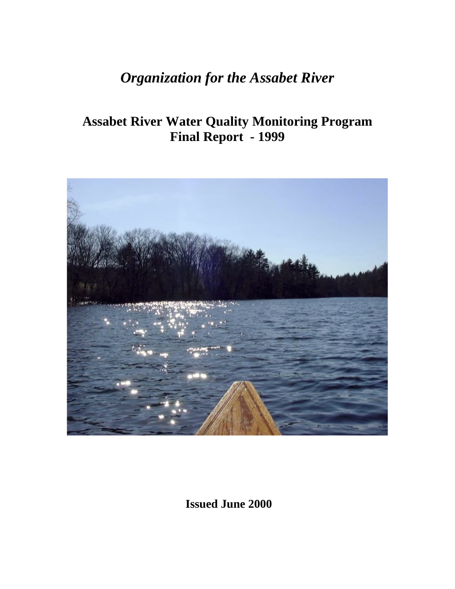# *Organization for the Assabet River*

## **Assabet River Water Quality Monitoring Program Final Report - 1999**



 **Issued June 2000**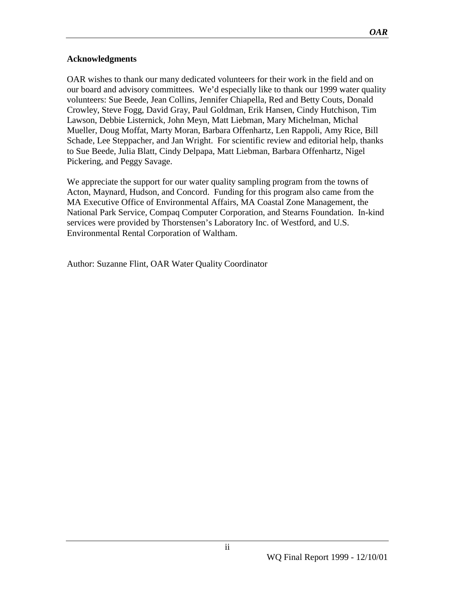#### **Acknowledgments**

OAR wishes to thank our many dedicated volunteers for their work in the field and on our board and advisory committees. We'd especially like to thank our 1999 water quality volunteers: Sue Beede, Jean Collins, Jennifer Chiapella, Red and Betty Couts, Donald Crowley, Steve Fogg, David Gray, Paul Goldman, Erik Hansen, Cindy Hutchison, Tim Lawson, Debbie Listernick, John Meyn, Matt Liebman, Mary Michelman, Michal Mueller, Doug Moffat, Marty Moran, Barbara Offenhartz, Len Rappoli, Amy Rice, Bill Schade, Lee Steppacher, and Jan Wright. For scientific review and editorial help, thanks to Sue Beede, Julia Blatt, Cindy Delpapa, Matt Liebman, Barbara Offenhartz, Nigel Pickering, and Peggy Savage.

We appreciate the support for our water quality sampling program from the towns of Acton, Maynard, Hudson, and Concord. Funding for this program also came from the MA Executive Office of Environmental Affairs, MA Coastal Zone Management, the National Park Service, Compaq Computer Corporation, and Stearns Foundation. In-kind services were provided by Thorstensen's Laboratory Inc. of Westford, and U.S. Environmental Rental Corporation of Waltham.

Author: Suzanne Flint, OAR Water Quality Coordinator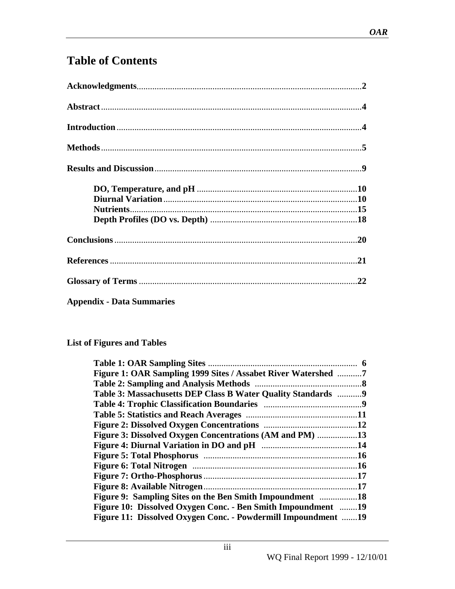### **Table of Contents**

|                                  | .21 |
|----------------------------------|-----|
|                                  |     |
| <b>Appendix - Data Summaries</b> |     |

#### **List of Figures and Tables**

| Figure 1: OAR Sampling 1999 Sites / Assabet River Watershed 7 |  |
|---------------------------------------------------------------|--|
|                                                               |  |
| Table 3: Massachusetts DEP Class B Water Quality Standards  9 |  |
|                                                               |  |
|                                                               |  |
|                                                               |  |
| Figure 3: Dissolved Oxygen Concentrations (AM and PM) 13      |  |
|                                                               |  |
|                                                               |  |
|                                                               |  |
|                                                               |  |
|                                                               |  |
|                                                               |  |
| Figure 10: Dissolved Oxygen Conc. - Ben Smith Impoundment 19  |  |
| Figure 11: Dissolved Oxygen Conc. - Powdermill Impoundment 19 |  |
|                                                               |  |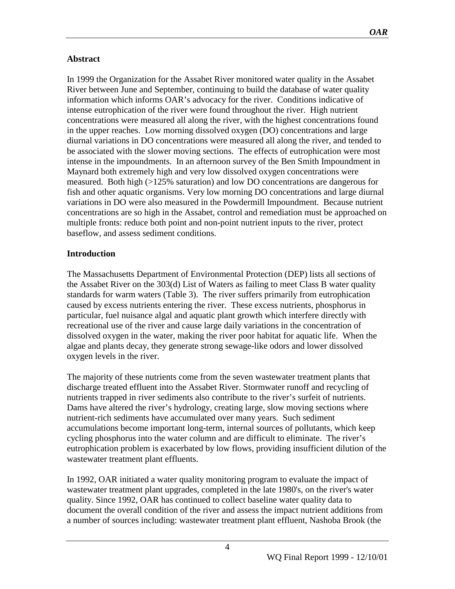#### **Abstract**

In 1999 the Organization for the Assabet River monitored water quality in the Assabet River between June and September, continuing to build the database of water quality information which informs OAR's advocacy for the river. Conditions indicative of intense eutrophication of the river were found throughout the river. High nutrient concentrations were measured all along the river, with the highest concentrations found in the upper reaches. Low morning dissolved oxygen (DO) concentrations and large diurnal variations in DO concentrations were measured all along the river, and tended to be associated with the slower moving sections. The effects of eutrophication were most intense in the impoundments. In an afternoon survey of the Ben Smith Impoundment in Maynard both extremely high and very low dissolved oxygen concentrations were measured. Both high (>125% saturation) and low DO concentrations are dangerous for fish and other aquatic organisms. Very low morning DO concentrations and large diurnal variations in DO were also measured in the Powdermill Impoundment. Because nutrient concentrations are so high in the Assabet, control and remediation must be approached on multiple fronts: reduce both point and non-point nutrient inputs to the river, protect baseflow, and assess sediment conditions.

#### **Introduction**

The Massachusetts Department of Environmental Protection (DEP) lists all sections of the Assabet River on the 303(d) List of Waters as failing to meet Class B water quality standards for warm waters (Table 3). The river suffers primarily from eutrophication caused by excess nutrients entering the river. These excess nutrients, phosphorus in particular, fuel nuisance algal and aquatic plant growth which interfere directly with recreational use of the river and cause large daily variations in the concentration of dissolved oxygen in the water, making the river poor habitat for aquatic life. When the algae and plants decay, they generate strong sewage-like odors and lower dissolved oxygen levels in the river.

The majority of these nutrients come from the seven wastewater treatment plants that discharge treated effluent into the Assabet River. Stormwater runoff and recycling of nutrients trapped in river sediments also contribute to the river's surfeit of nutrients. Dams have altered the river's hydrology, creating large, slow moving sections where nutrient-rich sediments have accumulated over many years. Such sediment accumulations become important long-term, internal sources of pollutants, which keep cycling phosphorus into the water column and are difficult to eliminate. The river's eutrophication problem is exacerbated by low flows, providing insufficient dilution of the wastewater treatment plant effluents.

In 1992, OAR initiated a water quality monitoring program to evaluate the impact of wastewater treatment plant upgrades, completed in the late 1980's, on the river's water quality. Since 1992, OAR has continued to collect baseline water quality data to document the overall condition of the river and assess the impact nutrient additions from a number of sources including: wastewater treatment plant effluent, Nashoba Brook (the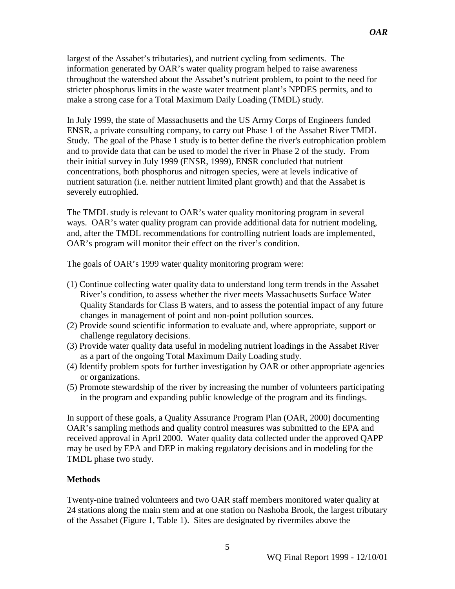largest of the Assabet's tributaries), and nutrient cycling from sediments. The information generated by OAR's water quality program helped to raise awareness throughout the watershed about the Assabet's nutrient problem, to point to the need for stricter phosphorus limits in the waste water treatment plant's NPDES permits, and to make a strong case for a Total Maximum Daily Loading (TMDL) study.

In July 1999, the state of Massachusetts and the US Army Corps of Engineers funded ENSR, a private consulting company, to carry out Phase 1 of the Assabet River TMDL Study. The goal of the Phase 1 study is to better define the river's eutrophication problem and to provide data that can be used to model the river in Phase 2 of the study. From their initial survey in July 1999 (ENSR, 1999), ENSR concluded that nutrient concentrations, both phosphorus and nitrogen species, were at levels indicative of nutrient saturation (i.e. neither nutrient limited plant growth) and that the Assabet is severely eutrophied.

The TMDL study is relevant to OAR's water quality monitoring program in several ways. OAR's water quality program can provide additional data for nutrient modeling, and, after the TMDL recommendations for controlling nutrient loads are implemented, OAR's program will monitor their effect on the river's condition.

The goals of OAR's 1999 water quality monitoring program were:

- (1) Continue collecting water quality data to understand long term trends in the Assabet River's condition, to assess whether the river meets Massachusetts Surface Water Quality Standards for Class B waters, and to assess the potential impact of any future changes in management of point and non-point pollution sources.
- (2) Provide sound scientific information to evaluate and, where appropriate, support or challenge regulatory decisions.
- (3) Provide water quality data useful in modeling nutrient loadings in the Assabet River as a part of the ongoing Total Maximum Daily Loading study.
- (4) Identify problem spots for further investigation by OAR or other appropriate agencies or organizations.
- (5) Promote stewardship of the river by increasing the number of volunteers participating in the program and expanding public knowledge of the program and its findings.

In support of these goals, a Quality Assurance Program Plan (OAR, 2000) documenting OAR's sampling methods and quality control measures was submitted to the EPA and received approval in April 2000. Water quality data collected under the approved QAPP may be used by EPA and DEP in making regulatory decisions and in modeling for the TMDL phase two study.

#### **Methods**

Twenty-nine trained volunteers and two OAR staff members monitored water quality at 24 stations along the main stem and at one station on Nashoba Brook, the largest tributary of the Assabet (Figure 1, Table 1). Sites are designated by rivermiles above the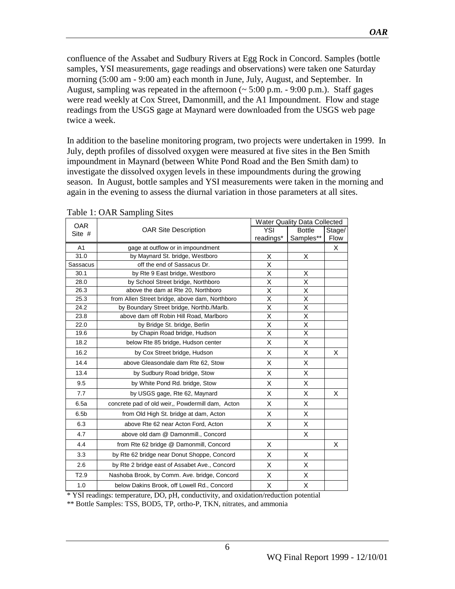confluence of the Assabet and Sudbury Rivers at Egg Rock in Concord. Samples (bottle samples, YSI measurements, gage readings and observations) were taken one Saturday morning (5:00 am - 9:00 am) each month in June, July, August, and September. In August, sampling was repeated in the afternoon  $\approx$  5:00 p.m. - 9:00 p.m.). Staff gages were read weekly at Cox Street, Damonmill, and the A1 Impoundment. Flow and stage readings from the USGS gage at Maynard were downloaded from the USGS web page twice a week.

In addition to the baseline monitoring program, two projects were undertaken in 1999. In July, depth profiles of dissolved oxygen were measured at five sites in the Ben Smith impoundment in Maynard (between White Pond Road and the Ben Smith dam) to investigate the dissolved oxygen levels in these impoundments during the growing season. In August, bottle samples and YSI measurements were taken in the morning and again in the evening to assess the diurnal variation in those parameters at all sites.

| <b>OAR</b>       |                                                  |           | <b>Water Quality Data Collected</b> |        |  |  |  |
|------------------|--------------------------------------------------|-----------|-------------------------------------|--------|--|--|--|
| Site #           | <b>OAR Site Description</b>                      | YSI       | <b>Bottle</b><br>Samples**          | Stage/ |  |  |  |
|                  |                                                  | readings* | <b>Flow</b>                         |        |  |  |  |
| A1               | gage at outflow or in impoundment                |           |                                     | Χ      |  |  |  |
| 31.0             | by Maynard St. bridge, Westboro                  | х         | X                                   |        |  |  |  |
| Sassacus         | off the end of Sassacus Dr.                      | X         |                                     |        |  |  |  |
| 30.1             | by Rte 9 East bridge, Westboro                   | X         | X                                   |        |  |  |  |
| 28.0             | by School Street bridge, Northboro               | Χ         | Χ                                   |        |  |  |  |
| 26.3             | above the dam at Rte 20, Northboro               | X         | X                                   |        |  |  |  |
| 25.3             | from Allen Street bridge, above dam, Northboro   | Χ         | X                                   |        |  |  |  |
| 24.2             | by Boundary Street bridge, Northb./Marlb.        | Χ         | X                                   |        |  |  |  |
| 23.8             | above dam off Robin Hill Road, Marlboro          | X         | X                                   |        |  |  |  |
| 22.0             | by Bridge St. bridge, Berlin                     | Χ         | Χ                                   |        |  |  |  |
| 19.6             | by Chapin Road bridge, Hudson                    | Χ         | X                                   |        |  |  |  |
| 18.2             | below Rte 85 bridge, Hudson center               | X         | X                                   |        |  |  |  |
| 16.2             | by Cox Street bridge, Hudson                     | X         | X                                   | X      |  |  |  |
| 14.4             | above Gleasondale dam Rte 62, Stow               | X         | X                                   |        |  |  |  |
| 13.4             | by Sudbury Road bridge, Stow                     | X         | X                                   |        |  |  |  |
| 9.5              | by White Pond Rd. bridge, Stow                   | X         | X                                   |        |  |  |  |
| 7.7              | by USGS gage, Rte 62, Maynard                    | X         | X                                   | X      |  |  |  |
| 6.5a             | concrete pad of old weir,, Powdermill dam, Acton | X         | X                                   |        |  |  |  |
| 6.5 <sub>b</sub> | from Old High St. bridge at dam, Acton           | Х         | Χ                                   |        |  |  |  |
| 6.3              | above Rte 62 near Acton Ford, Acton              | X         | X                                   |        |  |  |  |
| 4.7              | above old dam @ Damonmill., Concord              |           | X                                   |        |  |  |  |
| 4.4              | from Rte 62 bridge @ Damonmill, Concord          | X         |                                     | X      |  |  |  |
| 3.3              | by Rte 62 bridge near Donut Shoppe, Concord      | X         | X                                   |        |  |  |  |
| 2.6              | by Rte 2 bridge east of Assabet Ave., Concord    | X         | X                                   |        |  |  |  |
| T <sub>2.9</sub> | Nashoba Brook, by Comm. Ave. bridge, Concord     | X         | X                                   |        |  |  |  |
| 1.0              | below Dakins Brook, off Lowell Rd., Concord      | Х         | X                                   |        |  |  |  |

#### Table 1: OAR Sampling Sites

\* YSI readings: temperature, DO, pH, conductivity, and oxidation/reduction potential

\*\* Bottle Samples: TSS, BOD5, TP, ortho-P, TKN, nitrates, and ammonia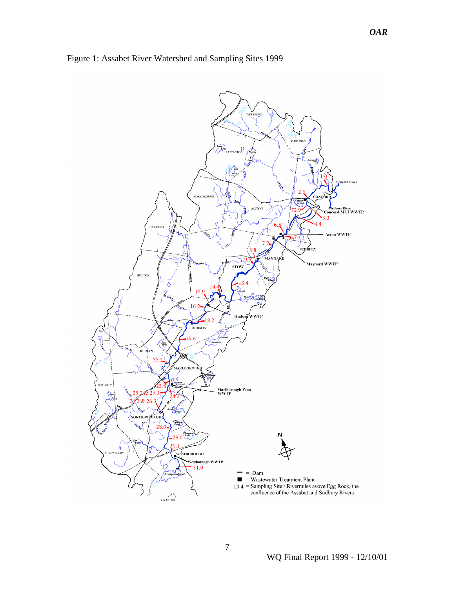

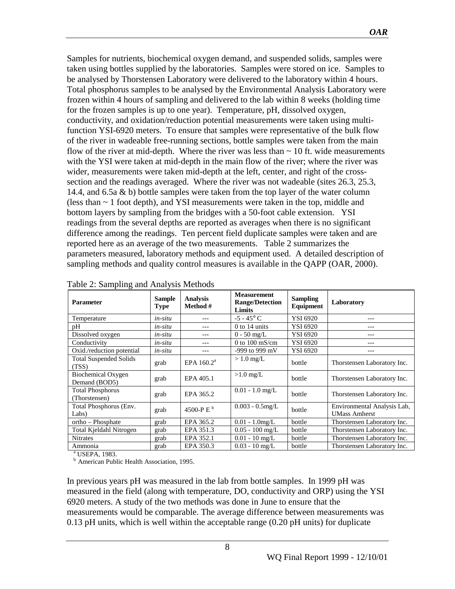Samples for nutrients, biochemical oxygen demand, and suspended solids, samples were taken using bottles supplied by the laboratories. Samples were stored on ice. Samples to be analysed by Thorstensen Laboratory were delivered to the laboratory within 4 hours. Total phosphorus samples to be analysed by the Environmental Analysis Laboratory were frozen within 4 hours of sampling and delivered to the lab within 8 weeks (holding time for the frozen samples is up to one year). Temperature, pH, dissolved oxygen, conductivity, and oxidation/reduction potential measurements were taken using multifunction YSI-6920 meters. To ensure that samples were representative of the bulk flow of the river in wadeable free-running sections, bottle samples were taken from the main flow of the river at mid-depth. Where the river was less than  $\sim$  10 ft. wide measurements with the YSI were taken at mid-depth in the main flow of the river; where the river was wider, measurements were taken mid-depth at the left, center, and right of the crosssection and the readings averaged. Where the river was not wadeable (sites 26.3, 25.3, 14.4, and 6.5a & b) bottle samples were taken from the top layer of the water column (less than  $\sim$  1 foot depth), and YSI measurements were taken in the top, middle and bottom layers by sampling from the bridges with a 50-foot cable extension.YSI readings from the several depths are reported as averages when there is no significant difference among the readings. Ten percent field duplicate samples were taken and are reported here as an average of the two measurements. Table 2 summarizes the parameters measured, laboratory methods and equipment used. A detailed description of sampling methods and quality control measures is available in the QAPP (OAR, 2000).

| <b>Analysis</b><br><b>Sample</b><br><b>Parameter</b><br>Method #<br>Type |         | <b>Measurement</b><br><b>Range/Detection</b><br>Limits | <b>Sampling</b><br>Equipment | Laboratory |                                                     |
|--------------------------------------------------------------------------|---------|--------------------------------------------------------|------------------------------|------------|-----------------------------------------------------|
| Temperature                                                              | in-situ |                                                        | $-5 - 45^{\circ}$ C          | YSI 6920   | ---                                                 |
| pH                                                                       | in-situ |                                                        | $0$ to 14 units              | YSI 6920   |                                                     |
| Dissolved oxygen                                                         | in-situ |                                                        | $0 - 50$ mg/L                | YSI 6920   | ---                                                 |
| Conductivity                                                             | in-situ | ---                                                    | 0 to $100 \text{ mS/cm}$     | YSI 6920   | ---                                                 |
| Oxid./reduction potential                                                | in-situ | $- - -$                                                | -999 to 999 mV               | YSI 6920   | ---                                                 |
| <b>Total Suspended Solids</b><br>(TSS)                                   | grab    | EPA $160.2a$                                           | $> 1.0$ mg/L                 | bottle     | Thorstensen Laboratory Inc.                         |
| Biochemical Oxygen<br>Demand (BOD5)                                      | grab    | EPA 405.1                                              | $>1.0$ mg/L                  | bottle     | Thorstensen Laboratory Inc.                         |
| <b>Total Phosphorus</b><br>(Thorstensen)                                 | grab    | EPA 365.2                                              | $0.01 - 1.0$ mg/L            | bottle     | Thorstensen Laboratory Inc.                         |
| Total Phosphorus (Env.<br>Labs)                                          | grab    | 4500-P E <sup>b</sup>                                  | $0.003 - 0.5$ mg/L           | bottle     | Environmental Analysis Lab,<br><b>UMass Amherst</b> |
| ortho - Phosphate                                                        | grab    | EPA 365.2                                              | $0.01 - 1.0$ mg/L            | bottle     | Thorstensen Laboratory Inc.                         |
| Total Kjeldahl Nitrogen                                                  | grab    | EPA 351.3                                              | $0.05 - 100$ mg/L            | bottle     | Thorstensen Laboratory Inc.                         |
| <b>Nitrates</b>                                                          | grab    | EPA 352.1                                              | $0.01 - 10$ mg/L             | bottle     | Thorstensen Laboratory Inc.                         |
| Ammonia                                                                  | grab    | EPA 350.3                                              | $0.03 - 10$ mg/L             | bottle     | Thorstensen Laboratory Inc.                         |

|  |  | Table 2: Sampling and Analysis Methods |  |
|--|--|----------------------------------------|--|
|--|--|----------------------------------------|--|

a USEPA, 1983.

<sup>b</sup> American Public Health Association, 1995.

In previous years pH was measured in the lab from bottle samples. In 1999 pH was measured in the field (along with temperature, DO, conductivity and ORP) using the YSI 6920 meters. A study of the two methods was done in June to ensure that the measurements would be comparable. The average difference between measurements was 0.13 pH units, which is well within the acceptable range (0.20 pH units) for duplicate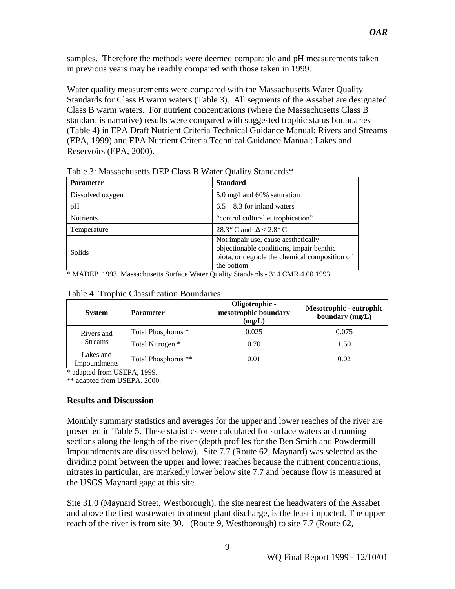samples. Therefore the methods were deemed comparable and pH measurements taken in previous years may be readily compared with those taken in 1999.

Water quality measurements were compared with the Massachusetts Water Quality Standards for Class B warm waters (Table 3). All segments of the Assabet are designated Class B warm waters. For nutrient concentrations (where the Massachusetts Class B standard is narrative) results were compared with suggested trophic status boundaries (Table 4) in EPA Draft Nutrient Criteria Technical Guidance Manual: Rivers and Streams (EPA, 1999) and EPA Nutrient Criteria Technical Guidance Manual: Lakes and Reservoirs (EPA, 2000).

| <b>Parameter</b> | <b>Standard</b>                                                                                                                                |
|------------------|------------------------------------------------------------------------------------------------------------------------------------------------|
| Dissolved oxygen | 5.0 mg/l and 60% saturation                                                                                                                    |
| pH               | $6.5 - 8.3$ for inland waters                                                                                                                  |
| <b>Nutrients</b> | "control cultural eutrophication"                                                                                                              |
| Temperature      | 28.3° C and $\Delta < 2.8$ ° C                                                                                                                 |
| Solids           | Not impair use, cause aesthetically<br>objectionable conditions, impair benthic<br>biota, or degrade the chemical composition of<br>the bottom |

Table 3: Massachusetts DEP Class B Water Quality Standards\*

\* MADEP. 1993. Massachusetts Surface Water Quality Standards - 314 CMR 4.00 1993

| <b>System</b>                    | <b>Parameter</b>    | Oligotrophic -<br>mesotrophic boundary<br>(mg/L) | Mesotrophic - eutrophic<br>boundary (mg/L) |
|----------------------------------|---------------------|--------------------------------------------------|--------------------------------------------|
| Rivers and                       | Total Phosphorus *  | 0.025                                            | 0.075                                      |
| <b>Streams</b>                   | Total Nitrogen *    | 0.70                                             | 1.50                                       |
| Lakes and<br><b>Impoundments</b> | Total Phosphorus ** | 0.01                                             | 0.02                                       |

Table 4: Trophic Classification Boundaries

\* adapted from USEPA, 1999.

\*\* adapted from USEPA. 2000.

#### **Results and Discussion**

Monthly summary statistics and averages for the upper and lower reaches of the river are presented in Table 5. These statistics were calculated for surface waters and running sections along the length of the river (depth profiles for the Ben Smith and Powdermill Impoundments are discussed below). Site 7.7 (Route 62, Maynard) was selected as the dividing point between the upper and lower reaches because the nutrient concentrations, nitrates in particular, are markedly lower below site 7.7 and because flow is measured at the USGS Maynard gage at this site.

Site 31.0 (Maynard Street, Westborough), the site nearest the headwaters of the Assabet and above the first wastewater treatment plant discharge, is the least impacted. The upper reach of the river is from site 30.1 (Route 9, Westborough) to site 7.7 (Route 62,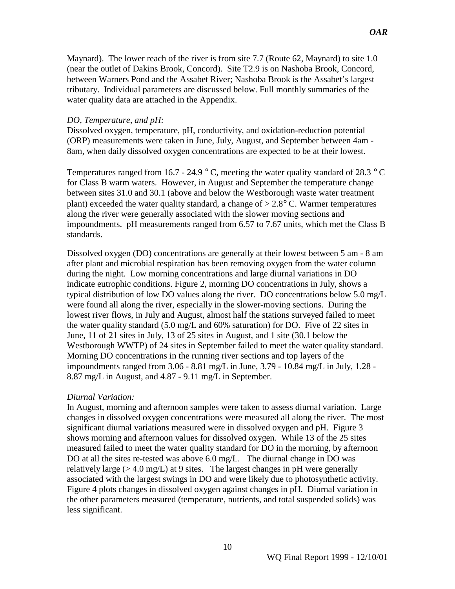Maynard). The lower reach of the river is from site 7.7 (Route 62, Maynard) to site 1.0 (near the outlet of Dakins Brook, Concord). Site T2.9 is on Nashoba Brook, Concord, between Warners Pond and the Assabet River; Nashoba Brook is the Assabet's largest tributary. Individual parameters are discussed below. Full monthly summaries of the water quality data are attached in the Appendix.

#### *DO, Temperature, and pH:*

Dissolved oxygen, temperature, pH, conductivity, and oxidation-reduction potential (ORP) measurements were taken in June, July, August, and September between 4am - 8am, when daily dissolved oxygen concentrations are expected to be at their lowest.

Temperatures ranged from 16.7 - 24.9  $\degree$  C, meeting the water quality standard of 28.3  $\degree$  C for Class B warm waters. However, in August and September the temperature change between sites 31.0 and 30.1 (above and below the Westborough waste water treatment plant) exceeded the water quality standard, a change of  $> 2.8^{\circ}$  C. Warmer temperatures along the river were generally associated with the slower moving sections and impoundments. pH measurements ranged from 6.57 to 7.67 units, which met the Class B standards.

Dissolved oxygen (DO) concentrations are generally at their lowest between 5 am - 8 am after plant and microbial respiration has been removing oxygen from the water column during the night. Low morning concentrations and large diurnal variations in DO indicate eutrophic conditions. Figure 2, morning DO concentrations in July, shows a typical distribution of low DO values along the river. DO concentrations below 5.0 mg/L were found all along the river, especially in the slower-moving sections. During the lowest river flows, in July and August, almost half the stations surveyed failed to meet the water quality standard (5.0 mg/L and 60% saturation) for DO. Five of 22 sites in June, 11 of 21 sites in July, 13 of 25 sites in August, and 1 site (30.1 below the Westborough WWTP) of 24 sites in September failed to meet the water quality standard. Morning DO concentrations in the running river sections and top layers of the impoundments ranged from  $3.06 - 8.81$  mg/L in June,  $3.79 - 10.84$  mg/L in July,  $1.28 -$ 8.87 mg/L in August, and 4.87 - 9.11 mg/L in September.

#### *Diurnal Variation:*

In August, morning and afternoon samples were taken to assess diurnal variation. Large changes in dissolved oxygen concentrations were measured all along the river. The most significant diurnal variations measured were in dissolved oxygen and pH. Figure 3 shows morning and afternoon values for dissolved oxygen. While 13 of the 25 sites measured failed to meet the water quality standard for DO in the morning, by afternoon DO at all the sites re-tested was above 6.0 mg/L. The diurnal change in DO was relatively large (> 4.0 mg/L) at 9 sites. The largest changes in pH were generally associated with the largest swings in DO and were likely due to photosynthetic activity. Figure 4 plots changes in dissolved oxygen against changes in pH. Diurnal variation in the other parameters measured (temperature, nutrients, and total suspended solids) was less significant.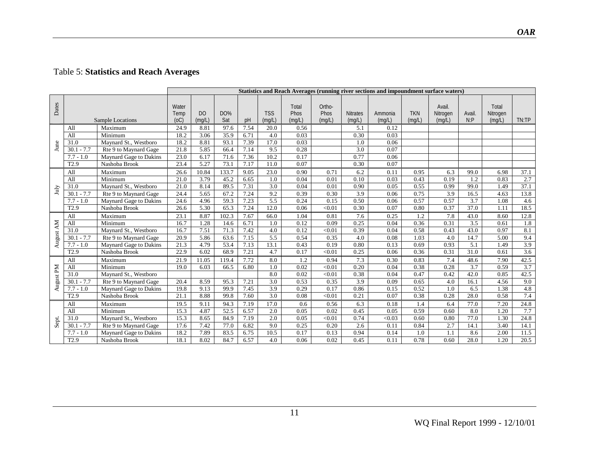### Table 5: **Statistics and Reach Averages**

|           |                  |                        | Statistics and Reach Averages (running river sections and impoundment surface waters) |                          |                   |      |                      |                         |                          |                           |                   |                      |                              |                |                             |                  |
|-----------|------------------|------------------------|---------------------------------------------------------------------------------------|--------------------------|-------------------|------|----------------------|-------------------------|--------------------------|---------------------------|-------------------|----------------------|------------------------------|----------------|-----------------------------|------------------|
| Dates     |                  | Sample Locations       | Water<br>Temp<br>(OC)                                                                 | D <sub>O</sub><br>(mq/L) | <b>DO%</b><br>Sat | pH   | <b>TSS</b><br>(mq/L) | Total<br>Phos<br>(mq/L) | Ortho-<br>Phos<br>(mq/L) | <b>Nitrates</b><br>(mq/L) | Ammonia<br>(mq/L) | <b>TKN</b><br>(mq/L) | Avail.<br>Nitrogen<br>(mq/L) | Avail.<br>N: P | Total<br>Nitrogen<br>(mq/L) | TN:TP            |
|           | All              | Maximum                | 24.9                                                                                  | 8.81                     | 97.6              | 7.54 | 20.0                 | 0.56                    |                          | 5.1                       | 0.12              |                      |                              |                |                             |                  |
|           | All              | Minimum                | 18.2                                                                                  | 3.06                     | 35.9              | 6.71 | 4.0                  | 0.03                    |                          | 0.30                      | 0.03              |                      |                              |                |                             |                  |
|           | 31.0             | Maynard St., Westboro  | 18.2                                                                                  | 8.81                     | 93.1              | 7.39 | 17.0                 | 0.03                    |                          | 1.0                       | 0.06              |                      |                              |                |                             |                  |
| June      | 30.1<br>$-7.7$   | Rte 9 to Maynard Gage  | 21.8                                                                                  | 5.85                     | 66.4              | 7.14 | 9.5                  | 0.28                    |                          | 3.0                       | 0.07              |                      |                              |                |                             |                  |
|           | $7.7 - 1.0$      | Maynard Gage to Dakins | 23.0                                                                                  | 6.17                     | 71.6              | 7.36 | 10.2                 | 0.17                    |                          | 0.77                      | 0.06              |                      |                              |                |                             |                  |
|           | T <sub>2.9</sub> | Nashoba Brook          | 23.4                                                                                  | 5.27                     | 73.1              | 7.17 | 11.0                 | 0.07                    |                          | 0.30                      | 0.07              |                      |                              |                |                             |                  |
|           | All              | Maximum                | 26.6                                                                                  | 10.84                    | 133.7             | 9.05 | 23.0                 | 0.90                    | 0.71                     | 6.2                       | 0.11              | 0.95                 | 6.3                          | 99.0           | 6.98                        | 37.1             |
|           | All              | Minimum                | 21.0                                                                                  | 3.79                     | 45.2              | 6.65 | 1.0                  | 0.04                    | 0.01                     | 0.10                      | 0.03              | 0.43                 | 0.19                         | 1.2            | 0.83                        | 2.7              |
| July      | 31.0             | Maynard St., Westboro  | 21.0                                                                                  | 8.14                     | 89.5              | 7.31 | 3.0                  | 0.04                    | 0.01                     | 0.90                      | 0.05              | 0.55                 | 0.99                         | 99.0           | 1.49                        | 37.1             |
|           | $30.1 - 7.7$     | Rte 9 to Maynard Gage  | 24.4                                                                                  | 5.65                     | 67.2              | 7.24 | 9.2                  | 0.39                    | 0.30                     | 3.9                       | 0.06              | 0.75                 | 3.9                          | 16.5           | 4.63                        | 13.8             |
|           | $7.7 - 1.0$      | Maynard Gage to Dakins | 24.6                                                                                  | 4.96                     | 59.3              | 7.23 | 5.5                  | 0.24                    | 0.15                     | 0.50                      | 0.06              | 0.57                 | 0.57                         | 3.7            | 1.08                        | 4.6              |
|           | T <sub>2.9</sub> | Nashoba Brook          | 26.6                                                                                  | 5.30                     | 65.3              | 7.24 | 12.0                 | 0.06                    | < 0.01                   | 0.30                      | 0.07              | 0.80                 | 0.37                         | 37.0           | 1.11                        | 18.5             |
|           | All              | Maximum                | 23.1                                                                                  | 8.87                     | 102.3             | 7.67 | 66.0                 | 1.04                    | 0.81                     | 7.6                       | 0.25              | 1.2                  | 7.8                          | 43.0           | 8.60                        | 12.8             |
|           | All              | Minimum                | 16.7                                                                                  | 1.28                     | 14.6              | 6.71 | 1.0                  | 0.12                    | 0.09                     | 0.25                      | 0.04              | 0.36                 | 0.31                         | 3.5            | 0.61                        | 1.8              |
| August AM | 31.0             | Maynard St., Westboro  | 16.7                                                                                  | 7.51                     | 71.3              | 7.42 | 4.0                  | 0.12                    | < 0.01                   | 0.39                      | 0.04              | 0.58                 | 0.43                         | 43.0           | 0.97                        | 8.1              |
|           | 30.1<br>$-7.7$   | Rte 9 to Maynard Gage  | 20.9                                                                                  | 5.86                     | 63.6              | 7.15 | 5.5                  | 0.54                    | 0.35                     | 4.0                       | 0.08              | 1.03                 | 4.0                          | 14.7           | 5.00                        | 9.4              |
|           | $7.7 - 1.0$      | Maynard Gage to Dakins | 21.3                                                                                  | 4.79                     | 53.4              | 7.13 | 13.1                 | 0.43                    | 0.19                     | 0.80                      | 0.13              | 0.69                 | 0.93                         | 5.1            | 1.49                        | 3.9              |
|           | T <sub>2.9</sub> | Nashoba Brook          | 22.9                                                                                  | 6.02                     | 68.9              | 7.21 | 4.7                  | 0.17                    | < 0.01                   | 0.25                      | 0.06              | 0.36                 | 0.31                         | 31.0           | 0.61                        | 3.6              |
|           | All              | Maximum                | 21.9                                                                                  | 11.05                    | 119.4             | 7.72 | 8.0                  | 1.2                     | 0.94                     | 7.3                       | 0.30              | 0.83                 | 7.4                          | 48.6           | 7.90                        | 42.5             |
| August PM | All              | Minimum                | 19.0                                                                                  | 6.03                     | 66.5              | 6.80 | 1.0                  | 0.02                    | < 0.01                   | 0.20                      | 0.04              | 0.38                 | 0.28                         | 3.7            | 0.59                        | $\overline{3.7}$ |
|           | 31.0             | Maynard St., Westboro  |                                                                                       |                          |                   |      | 8.0                  | 0.02                    | < 0.01                   | 0.38                      | 0.04              | 0.47                 | 0.42                         | 42.0           | 0.85                        | 42.5             |
|           | 30.1<br>$-7.7$   | Rte 9 to Maynard Gage  | 20.4                                                                                  | 8.59                     | 95.3              | 7.21 | $\overline{3.0}$     | 0.53                    | 0.35                     | $\overline{3.9}$          | 0.09              | 0.65                 | 4.0                          | 16.1           | 4.56                        | 9.0              |
|           | $7.7 - 1.0$      | Maynard Gage to Dakins | 19.8                                                                                  | 9.13                     | 99.9              | 7.45 | 3.9                  | 0.29                    | 0.17                     | 0.86                      | 0.15              | 0.52                 | 1.0                          | 6.5            | 1.38                        | 4.8              |
|           | T <sub>2.9</sub> | Nashoba Brook          | $\overline{21.1}$                                                                     | 8.88                     | 99.8              | 7.60 | $\overline{3.0}$     | 0.08                    | < 0.01                   | 0.21                      | 0.07              | 0.38                 | 0.28                         | 28.0           | 0.58                        | 7.4              |
|           | All              | Maximum                | 19.5                                                                                  | 9.11                     | 94.3              | 7.19 | 17.0                 | 0.6                     | 0.56                     | 6.3                       | 0.18              | 1.4                  | 6.4                          | 77.0           | 7.20                        | 24.8             |
|           | All              | Minimum                | 15.3                                                                                  | 4.87                     | 52.5              | 6.57 | 2.0                  | 0.05                    | 0.02                     | 0.45                      | 0.05              | 0.59                 | 0.60                         | 8.0            | 1.20                        | 7.7              |
| Sept.     | 31.0             | Maynard St., Westboro  | 15.3                                                                                  | 8.65                     | 84.9              | 7.19 | 2.0                  | 0.05                    | < 0.01                   | 0.74                      | < 0.03            | 0.60                 | 0.80                         | 77.0           | 1.30                        | 24.8             |
|           | $-7.7$<br>30.1   | Rte 9 to Maynard Gage  | 17.6                                                                                  | 7.42                     | 77.0              | 6.82 | 9.0                  | 0.25                    | 0.20                     | 2.6                       | 0.11              | 0.84                 | 2.7                          | 14.1           | 3.40                        | 14.1             |
|           | $7.7 - 1.0$      | Maynard Gage to Dakins | 18.2                                                                                  | 7.89                     | 83.5              | 6.75 | 10.5                 | 0.17                    | 0.13                     | 0.94                      | 0.14              | 1.0                  | 1.1                          | 8.6            | 2.00                        | 11.5             |
|           | T <sub>2.9</sub> | Nashoba Brook          | 18.1                                                                                  | 8.02                     | 84.7              | 6.57 | 4.0                  | 0.06                    | 0.02                     | 0.45                      | 0.11              | 0.78                 | 0.60                         | 28.0           | 1.20                        | 20.5             |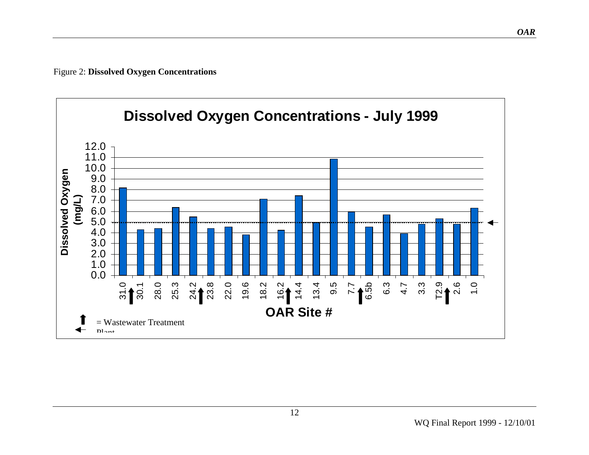Figure 2: **Dissolved Oxygen Concentrations**

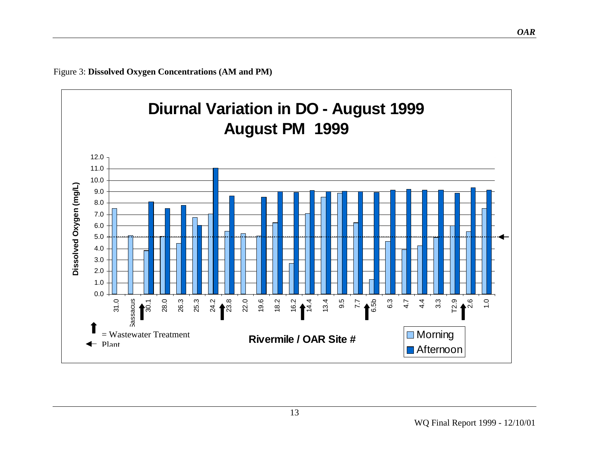Figure 3: **Dissolved Oxygen Concentrations (AM and PM)**

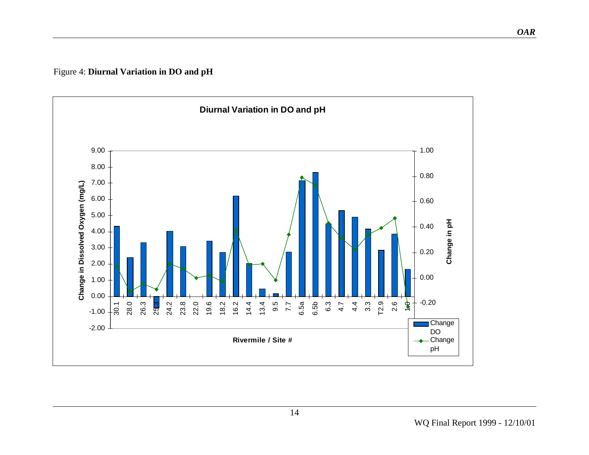Figure 4: **Diurnal Variation in DO and pH** 

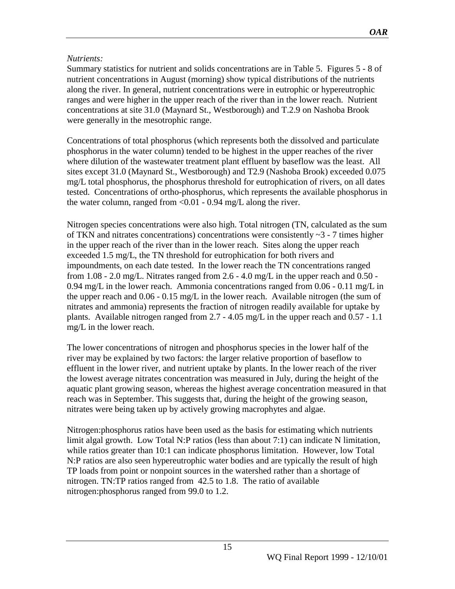#### *Nutrients:*

Summary statistics for nutrient and solids concentrations are in Table 5. Figures 5 - 8 of nutrient concentrations in August (morning) show typical distributions of the nutrients along the river. In general, nutrient concentrations were in eutrophic or hypereutrophic ranges and were higher in the upper reach of the river than in the lower reach. Nutrient concentrations at site 31.0 (Maynard St., Westborough) and T.2.9 on Nashoba Brook were generally in the mesotrophic range.

Concentrations of total phosphorus (which represents both the dissolved and particulate phosphorus in the water column) tended to be highest in the upper reaches of the river where dilution of the wastewater treatment plant effluent by baseflow was the least. All sites except 31.0 (Maynard St., Westborough) and T2.9 (Nashoba Brook) exceeded 0.075 mg/L total phosphorus, the phosphorus threshold for eutrophication of rivers, on all dates tested. Concentrations of ortho-phosphorus, which represents the available phosphorus in the water column, ranged from  $< 0.01 - 0.94$  mg/L along the river.

Nitrogen species concentrations were also high. Total nitrogen (TN, calculated as the sum of TKN and nitrates concentrations) concentrations were consistently  $\sim$ 3 - 7 times higher in the upper reach of the river than in the lower reach. Sites along the upper reach exceeded 1.5 mg/L, the TN threshold for eutrophication for both rivers and impoundments, on each date tested. In the lower reach the TN concentrations ranged from  $1.08 - 2.0$  mg/L. Nitrates ranged from  $2.6 - 4.0$  mg/L in the upper reach and  $0.50$  -0.94 mg/L in the lower reach. Ammonia concentrations ranged from 0.06 - 0.11 mg/L in the upper reach and 0.06 - 0.15 mg/L in the lower reach. Available nitrogen (the sum of nitrates and ammonia) represents the fraction of nitrogen readily available for uptake by plants. Available nitrogen ranged from 2.7 - 4.05 mg/L in the upper reach and 0.57 - 1.1 mg/L in the lower reach.

The lower concentrations of nitrogen and phosphorus species in the lower half of the river may be explained by two factors: the larger relative proportion of baseflow to effluent in the lower river, and nutrient uptake by plants. In the lower reach of the river the lowest average nitrates concentration was measured in July, during the height of the aquatic plant growing season, whereas the highest average concentration measured in that reach was in September. This suggests that, during the height of the growing season, nitrates were being taken up by actively growing macrophytes and algae.

Nitrogen:phosphorus ratios have been used as the basis for estimating which nutrients limit algal growth. Low Total N:P ratios (less than about 7:1) can indicate N limitation, while ratios greater than 10:1 can indicate phosphorus limitation. However, low Total N:P ratios are also seen hypereutrophic water bodies and are typically the result of high TP loads from point or nonpoint sources in the watershed rather than a shortage of nitrogen. TN:TP ratios ranged from 42.5 to 1.8. The ratio of available nitrogen:phosphorus ranged from 99.0 to 1.2.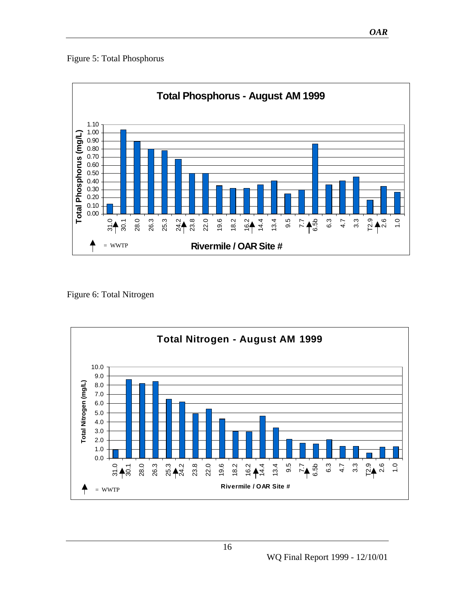Figure 5: Total Phosphorus



Figure 6: Total Nitrogen

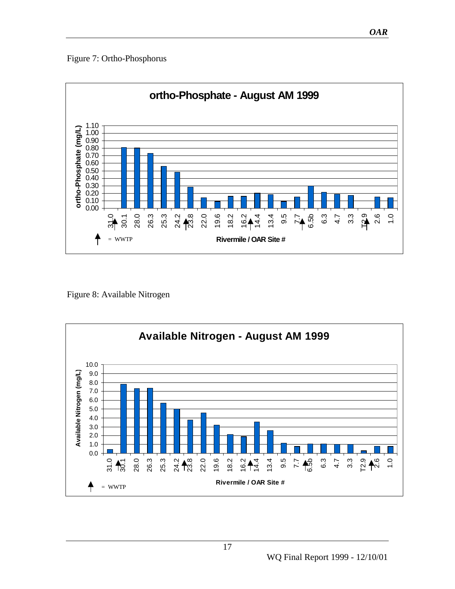#### Figure 7: Ortho-Phosphorus



Figure 8: Available Nitrogen

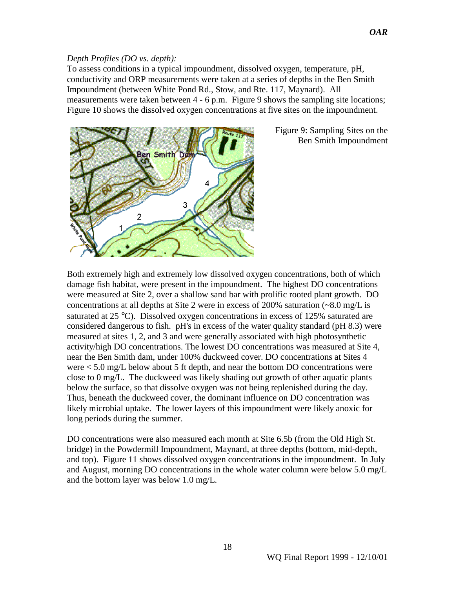#### *Depth Profiles (DO vs. depth):*

To assess conditions in a typical impoundment, dissolved oxygen, temperature, pH, conductivity and ORP measurements were taken at a series of depths in the Ben Smith Impoundment (between White Pond Rd., Stow, and Rte. 117, Maynard). All measurements were taken between 4 - 6 p.m. Figure 9 shows the sampling site locations; Figure 10 shows the dissolved oxygen concentrations at five sites on the impoundment.



Figure 9: Sampling Sites on the Ben Smith Impoundment

Both extremely high and extremely low dissolved oxygen concentrations, both of which damage fish habitat, were present in the impoundment. The highest DO concentrations were measured at Site 2, over a shallow sand bar with prolific rooted plant growth. DO concentrations at all depths at Site 2 were in excess of 200% saturation  $\left(\sim 8.0 \text{ mg/L}\right)$  is saturated at 25 °C). Dissolved oxygen concentrations in excess of 125% saturated are considered dangerous to fish. pH's in excess of the water quality standard (pH 8.3) were measured at sites 1, 2, and 3 and were generally associated with high photosynthetic activity/high DO concentrations. The lowest DO concentrations was measured at Site 4, near the Ben Smith dam, under 100% duckweed cover. DO concentrations at Sites 4 were < 5.0 mg/L below about 5 ft depth, and near the bottom DO concentrations were close to 0 mg/L. The duckweed was likely shading out growth of other aquatic plants below the surface, so that dissolve oxygen was not being replenished during the day. Thus, beneath the duckweed cover, the dominant influence on DO concentration was likely microbial uptake. The lower layers of this impoundment were likely anoxic for long periods during the summer.

DO concentrations were also measured each month at Site 6.5b (from the Old High St. bridge) in the Powdermill Impoundment, Maynard, at three depths (bottom, mid-depth, and top). Figure 11 shows dissolved oxygen concentrations in the impoundment. In July and August, morning DO concentrations in the whole water column were below 5.0 mg/L and the bottom layer was below 1.0 mg/L.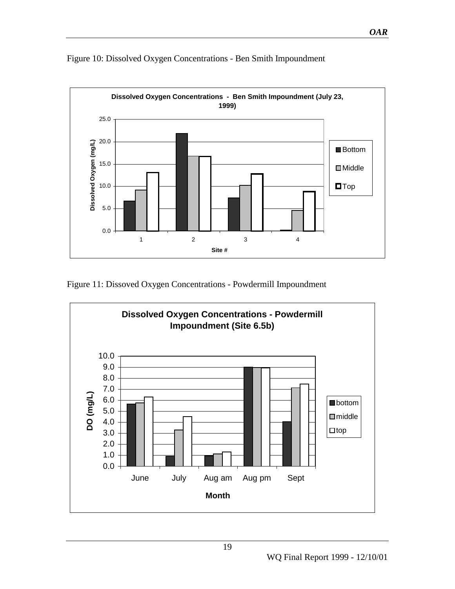

Figure 10: Dissolved Oxygen Concentrations - Ben Smith Impoundment

Figure 11: Dissoved Oxygen Concentrations - Powdermill Impoundment



*OAR*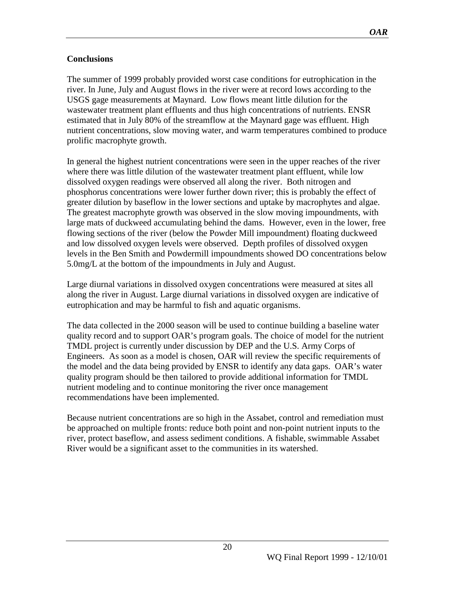#### **Conclusions**

The summer of 1999 probably provided worst case conditions for eutrophication in the river. In June, July and August flows in the river were at record lows according to the USGS gage measurements at Maynard. Low flows meant little dilution for the wastewater treatment plant effluents and thus high concentrations of nutrients. ENSR estimated that in July 80% of the streamflow at the Maynard gage was effluent. High nutrient concentrations, slow moving water, and warm temperatures combined to produce prolific macrophyte growth.

In general the highest nutrient concentrations were seen in the upper reaches of the river where there was little dilution of the wastewater treatment plant effluent, while low dissolved oxygen readings were observed all along the river. Both nitrogen and phosphorus concentrations were lower further down river; this is probably the effect of greater dilution by baseflow in the lower sections and uptake by macrophytes and algae. The greatest macrophyte growth was observed in the slow moving impoundments, with large mats of duckweed accumulating behind the dams. However, even in the lower, free flowing sections of the river (below the Powder Mill impoundment) floating duckweed and low dissolved oxygen levels were observed. Depth profiles of dissolved oxygen levels in the Ben Smith and Powdermill impoundments showed DO concentrations below 5.0mg/L at the bottom of the impoundments in July and August.

Large diurnal variations in dissolved oxygen concentrations were measured at sites all along the river in August. Large diurnal variations in dissolved oxygen are indicative of eutrophication and may be harmful to fish and aquatic organisms.

The data collected in the 2000 season will be used to continue building a baseline water quality record and to support OAR's program goals. The choice of model for the nutrient TMDL project is currently under discussion by DEP and the U.S. Army Corps of Engineers. As soon as a model is chosen, OAR will review the specific requirements of the model and the data being provided by ENSR to identify any data gaps. OAR's water quality program should be then tailored to provide additional information for TMDL nutrient modeling and to continue monitoring the river once management recommendations have been implemented.

Because nutrient concentrations are so high in the Assabet, control and remediation must be approached on multiple fronts: reduce both point and non-point nutrient inputs to the river, protect baseflow, and assess sediment conditions. A fishable, swimmable Assabet River would be a significant asset to the communities in its watershed.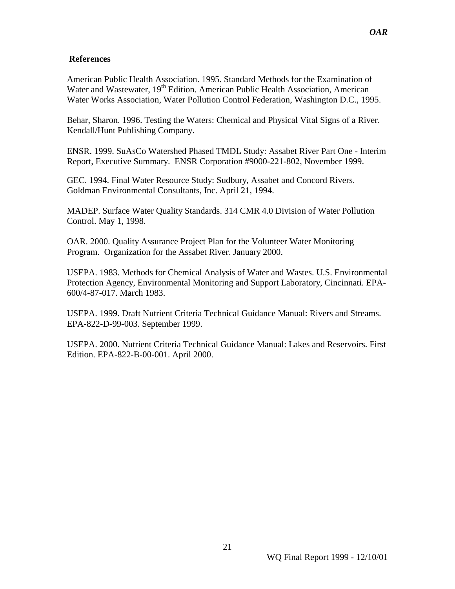#### **References**

American Public Health Association. 1995. Standard Methods for the Examination of Water and Wastewater, 19<sup>th</sup> Edition. American Public Health Association, American Water Works Association, Water Pollution Control Federation, Washington D.C., 1995.

Behar, Sharon. 1996. Testing the Waters: Chemical and Physical Vital Signs of a River. Kendall/Hunt Publishing Company.

ENSR. 1999. SuAsCo Watershed Phased TMDL Study: Assabet River Part One - Interim Report, Executive Summary. ENSR Corporation #9000-221-802, November 1999.

GEC. 1994. Final Water Resource Study: Sudbury, Assabet and Concord Rivers. Goldman Environmental Consultants, Inc. April 21, 1994.

MADEP. Surface Water Quality Standards. 314 CMR 4.0 Division of Water Pollution Control. May 1, 1998.

OAR. 2000. Quality Assurance Project Plan for the Volunteer Water Monitoring Program. Organization for the Assabet River. January 2000.

USEPA. 1983. Methods for Chemical Analysis of Water and Wastes. U.S. Environmental Protection Agency, Environmental Monitoring and Support Laboratory, Cincinnati. EPA-600/4-87-017. March 1983.

USEPA. 1999. Draft Nutrient Criteria Technical Guidance Manual: Rivers and Streams. EPA-822-D-99-003. September 1999.

USEPA. 2000. Nutrient Criteria Technical Guidance Manual: Lakes and Reservoirs. First Edition. EPA-822-B-00-001. April 2000.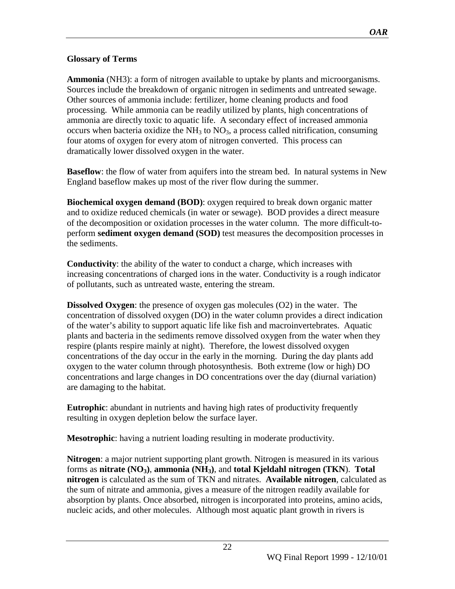#### **Glossary of Terms**

**Ammonia** (NH3): a form of nitrogen available to uptake by plants and microorganisms. Sources include the breakdown of organic nitrogen in sediments and untreated sewage. Other sources of ammonia include: fertilizer, home cleaning products and food processing. While ammonia can be readily utilized by plants, high concentrations of ammonia are directly toxic to aquatic life. A secondary effect of increased ammonia occurs when bacteria oxidize the  $NH<sub>3</sub>$  to  $NO<sub>3</sub>$ , a process called nitrification, consuming four atoms of oxygen for every atom of nitrogen converted. This process can dramatically lower dissolved oxygen in the water.

**Baseflow**: the flow of water from aquifers into the stream bed. In natural systems in New England baseflow makes up most of the river flow during the summer.

**Biochemical oxygen demand (BOD)**: oxygen required to break down organic matter and to oxidize reduced chemicals (in water or sewage). BOD provides a direct measure of the decomposition or oxidation processes in the water column. The more difficult-toperform **sediment oxygen demand (SOD)** test measures the decomposition processes in the sediments.

**Conductivity**: the ability of the water to conduct a charge, which increases with increasing concentrations of charged ions in the water. Conductivity is a rough indicator of pollutants, such as untreated waste, entering the stream.

**Dissolved Oxygen**: the presence of oxygen gas molecules (O2) in the water. The concentration of dissolved oxygen (DO) in the water column provides a direct indication of the water's ability to support aquatic life like fish and macroinvertebrates. Aquatic plants and bacteria in the sediments remove dissolved oxygen from the water when they respire (plants respire mainly at night). Therefore, the lowest dissolved oxygen concentrations of the day occur in the early in the morning. During the day plants add oxygen to the water column through photosynthesis. Both extreme (low or high) DO concentrations and large changes in DO concentrations over the day (diurnal variation) are damaging to the habitat.

**Eutrophic**: abundant in nutrients and having high rates of productivity frequently resulting in oxygen depletion below the surface layer.

**Mesotrophic**: having a nutrient loading resulting in moderate productivity.

**Nitrogen**: a major nutrient supporting plant growth. Nitrogen is measured in its various forms as **nitrate (NO3)**, **ammonia (NH3)**, and **total Kjeldahl nitrogen (TKN**). **Total nitrogen** is calculated as the sum of TKN and nitrates. **Available nitrogen**, calculated as the sum of nitrate and ammonia, gives a measure of the nitrogen readily available for absorption by plants. Once absorbed, nitrogen is incorporated into proteins, amino acids, nucleic acids, and other molecules. Although most aquatic plant growth in rivers is